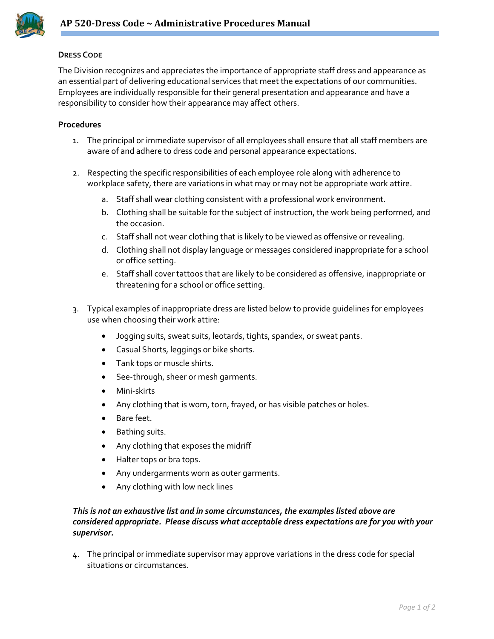

## **DRESS CODE**

The Division recognizes and appreciates the importance of appropriate staff dress and appearance as an essential part of delivering educational services that meet the expectations of our communities. Employees are individually responsible for their general presentation and appearance and have a responsibility to consider how their appearance may affect others.

## **Procedures**

- 1. The principal or immediate supervisor of all employees shall ensure that all staff members are aware of and adhere to dress code and personal appearance expectations.
- 2. Respecting the specific responsibilities of each employee role along with adherence to workplace safety, there are variations in what may or may not be appropriate work attire.
	- a. Staff shall wear clothing consistent with a professional work environment.
	- b. Clothing shall be suitable for the subject of instruction, the work being performed, and the occasion.
	- c. Staff shall not wear clothing that is likely to be viewed as offensive or revealing.
	- d. Clothing shall not display language or messages considered inappropriate for a school or office setting.
	- e. Staff shall cover tattoos that are likely to be considered as offensive, inappropriate or threatening for a school or office setting.
- 3. Typical examples of inappropriate dress are listed below to provide guidelines for employees use when choosing their work attire:
	- Jogging suits, sweat suits, leotards, tights, spandex, or sweat pants.
	- Casual Shorts, leggings or bike shorts.
	- Tank tops or muscle shirts.
	- See-through, sheer or mesh garments.
	- Mini-skirts
	- Any clothing that is worn, torn, frayed, or has visible patches or holes.
	- Bare feet.
	- Bathing suits.
	- Any clothing that exposes the midriff
	- Halter tops or bra tops.
	- Any undergarments worn as outer garments.
	- Any clothing with low neck lines

## *This is not an exhaustive list and in some circumstances, the examples listed above are considered appropriate. Please discuss what acceptable dress expectations are for you with your supervisor.*

4. The principal or immediate supervisor may approve variations in the dress code for special situations or circumstances.